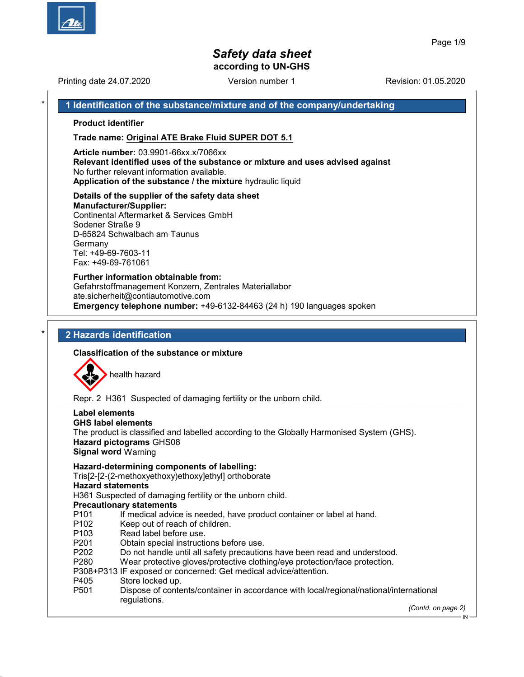Printing date 24.07.2020 **Revision: 01.05.2020** Version number 1

1 Identification of the substance/mixture and of the company/undertaking

Product identifier

Trade name: Original ATE Brake Fluid SUPER DOT 5.1

Article number: 03.9901-66xx.x/7066xx Relevant identified uses of the substance or mixture and uses advised against No further relevant information available.

Application of the substance / the mixture hydraulic liquid

### Details of the supplier of the safety data sheet

Manufacturer/Supplier: Continental Aftermarket & Services GmbH Sodener Straße 9 D-65824 Schwalbach am Taunus Germany Tel: +49-69-7603-11 Fax: +49-69-761061

Further information obtainable from: Gefahrstoffmanagement Konzern, Zentrales Materiallabor ate.sicherheit@contiautomotive.com Emergency telephone number: +49-6132-84463 (24 h) 190 languages spoken

# 2 Hazards identification

### Classification of the substance or mixture



Repr. 2 H361 Suspected of damaging fertility or the unborn child.

| Label elements<br><b>GHS label elements</b><br><b>Signal word Warning</b>                                                  | The product is classified and labelled according to the Globally Harmonised System (GHS).<br>Hazard pictograms GHS08 |                    |
|----------------------------------------------------------------------------------------------------------------------------|----------------------------------------------------------------------------------------------------------------------|--------------------|
|                                                                                                                            | Hazard-determining components of labelling:<br>Tris[2-[2-(2-methoxyethoxy)ethoxy]ethyl] orthoborate                  |                    |
| <b>Hazard statements</b>                                                                                                   |                                                                                                                      |                    |
|                                                                                                                            | H361 Suspected of damaging fertility or the unborn child.                                                            |                    |
|                                                                                                                            | <b>Precautionary statements</b>                                                                                      |                    |
| P101                                                                                                                       | If medical advice is needed, have product container or label at hand.                                                |                    |
| P102                                                                                                                       | Keep out of reach of children.                                                                                       |                    |
| P103                                                                                                                       | Read label before use.                                                                                               |                    |
| P <sub>201</sub>                                                                                                           | Obtain special instructions before use.                                                                              |                    |
| P <sub>202</sub>                                                                                                           | Do not handle until all safety precautions have been read and understood.                                            |                    |
| P <sub>280</sub>                                                                                                           | Wear protective gloves/protective clothing/eye protection/face protection.                                           |                    |
|                                                                                                                            | P308+P313 IF exposed or concerned: Get medical advice/attention.                                                     |                    |
| P405                                                                                                                       | Store locked up.                                                                                                     |                    |
| Dispose of contents/container in accordance with local/regional/national/international<br>P <sub>501</sub><br>regulations. |                                                                                                                      |                    |
|                                                                                                                            |                                                                                                                      | (Contd. on page 2) |
|                                                                                                                            |                                                                                                                      | - IN               |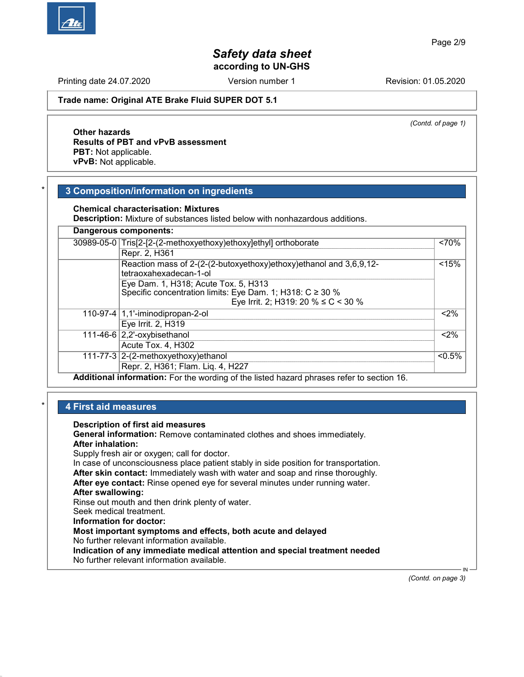Printing date 24.07.2020 **Revision: 01.05.2020** Version number 1

#### Trade name: Original ATE Brake Fluid SUPER DOT 5.1

(Contd. of page 1)

# Other hazards Results of PBT and vPvB assessment PBT: Not applicable.

vPvB: Not applicable.

## 3 Composition/information on ingredients

Chemical characterisation: Mixtures

Description: Mixture of substances listed below with nonhazardous additions.

| 30989-05-0 Tris[2-[2-(2-methoxyethoxy)ethoxy]ethyl] orthoborate                                                                                   | 570%      |
|---------------------------------------------------------------------------------------------------------------------------------------------------|-----------|
| Repr. 2, H361                                                                                                                                     |           |
| Reaction mass of 2-(2-(2-butoxyethoxy)ethoxy)ethanol and 3,6,9,12-<br>tetraoxahexadecan-1-ol                                                      | < 15%     |
| Eye Dam. 1, H318; Acute Tox. 5, H313<br>Specific concentration limits: Eye Dam. 1; H318: $C \ge 30$ %<br>Eye Irrit. 2; H319: 20 % $\leq C$ < 30 % |           |
| 110-97-4 1,1'-iminodipropan-2-ol                                                                                                                  | $< 2\%$   |
| Eye Irrit. 2, H319                                                                                                                                |           |
| 111-46-6 $ 2,2$ '-oxybisethanol                                                                                                                   | < 2%      |
| Acute Tox. 4, H302                                                                                                                                |           |
| 111-77-3 $ 2-(2-methoxyethoxy)$ ethanol                                                                                                           | $< 0.5\%$ |
| Repr. 2, H361; Flam. Liq. 4, H227                                                                                                                 |           |

## **4 First aid measures**

Description of first aid measures

General information: Remove contaminated clothes and shoes immediately. After inhalation: Supply fresh air or oxygen; call for doctor.

In case of unconsciousness place patient stably in side position for transportation. After skin contact: Immediately wash with water and soap and rinse thoroughly.

After eye contact: Rinse opened eye for several minutes under running water.

# After swallowing:

Rinse out mouth and then drink plenty of water.

Seek medical treatment.

Information for doctor:

# Most important symptoms and effects, both acute and delayed

No further relevant information available.

Indication of any immediate medical attention and special treatment needed

No further relevant information available.

(Contd. on page 3)

IN

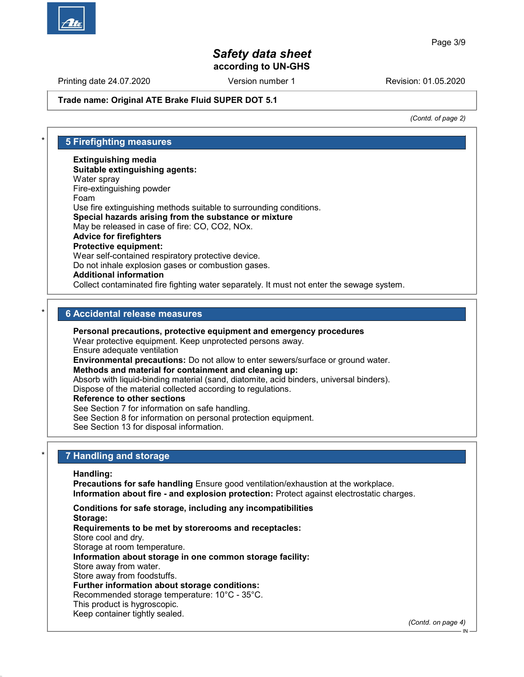Printing date 24.07.2020 **Revision: 01.05.2020** Version number 1

#### Trade name: Original ATE Brake Fluid SUPER DOT 5.1

(Contd. of page 2)

| ¥ | <b>5 Firefighting measures</b>                                                            |
|---|-------------------------------------------------------------------------------------------|
|   | <b>Extinguishing media</b>                                                                |
|   | Suitable extinguishing agents:                                                            |
|   | Water spray                                                                               |
|   | Fire-extinguishing powder                                                                 |
|   | Foam                                                                                      |
|   | Use fire extinguishing methods suitable to surrounding conditions.                        |
|   | Special hazards arising from the substance or mixture                                     |
|   | May be released in case of fire: CO, CO2, NOx.                                            |
|   | <b>Advice for firefighters</b>                                                            |
|   | <b>Protective equipment:</b>                                                              |
|   | Wear self-contained respiratory protective device.                                        |
|   | Do not inhale explosion gases or combustion gases.                                        |
|   | <b>Additional information</b>                                                             |
|   | Collect contaminated fire fighting water separately. It must not enter the sewage system. |

#### **6 Accidental release measures**

Personal precautions, protective equipment and emergency procedures

Wear protective equipment. Keep unprotected persons away.

Ensure adequate ventilation

Environmental precautions: Do not allow to enter sewers/surface or ground water. Methods and material for containment and cleaning up:

Absorb with liquid-binding material (sand, diatomite, acid binders, universal binders). Dispose of the material collected according to regulations.

Reference to other sections

See Section 7 for information on safe handling.

See Section 8 for information on personal protection equipment.

See Section 13 for disposal information.

#### 7 Handling and storage

Handling:

Precautions for safe handling Ensure good ventilation/exhaustion at the workplace. Information about fire - and explosion protection: Protect against electrostatic charges.

Conditions for safe storage, including any incompatibilities Storage: Requirements to be met by storerooms and receptacles: Store cool and dry. Storage at room temperature. Information about storage in one common storage facility: Store away from water. Store away from foodstuffs. Further information about storage conditions: Recommended storage temperature: 10°C - 35°C. This product is hygroscopic. Keep container tightly sealed.

(Contd. on page 4)

IN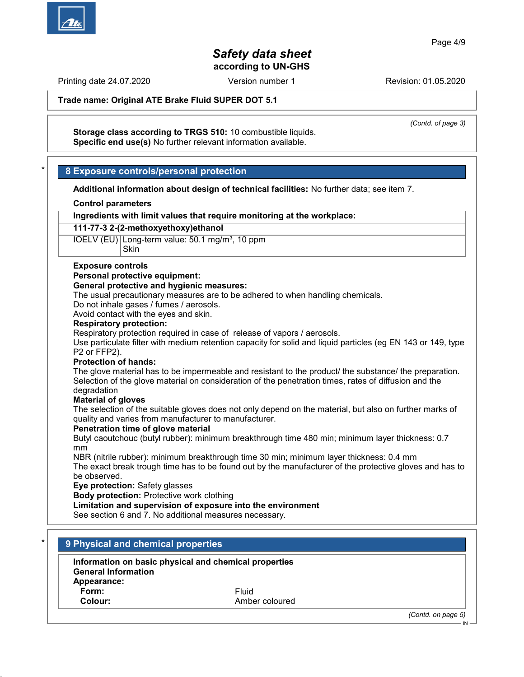Printing date 24.07.2020 **Revision: 01.05.2020** Version number 1

Trade name: Original ATE Brake Fluid SUPER DOT 5.1

(Contd. of page 3)

Storage class according to TRGS 510: 10 combustible liquids. Specific end use(s) No further relevant information available.

## 8 Exposure controls/personal protection

Additional information about design of technical facilities: No further data; see item 7.

#### Control parameters

Ingredients with limit values that require monitoring at the workplace:

#### 111-77-3 2-(2-methoxyethoxy)ethanol

IOELV (EU) Long-term value: 50.1 mg/m<sup>3</sup>, 10 ppm **Skin** 

#### Exposure controls

#### Personal protective equipment:

#### General protective and hygienic measures:

The usual precautionary measures are to be adhered to when handling chemicals.

Do not inhale gases / fumes / aerosols.

Avoid contact with the eyes and skin.

#### Respiratory protection:

Respiratory protection required in case of release of vapors / aerosols.

Use particulate filter with medium retention capacity for solid and liquid particles (eg EN 143 or 149, type P2 or FFP2).

#### Protection of hands:

The glove material has to be impermeable and resistant to the product/ the substance/ the preparation. Selection of the glove material on consideration of the penetration times, rates of diffusion and the degradation

#### Material of gloves

The selection of the suitable gloves does not only depend on the material, but also on further marks of quality and varies from manufacturer to manufacturer.

#### Penetration time of glove material

Butyl caoutchouc (butyl rubber): minimum breakthrough time 480 min; minimum layer thickness: 0.7 mm

NBR (nitrile rubber): minimum breakthrough time 30 min; minimum layer thickness: 0.4 mm The exact break trough time has to be found out by the manufacturer of the protective gloves and has to be observed.

Eye protection: Safety glasses

Body protection: Protective work clothing

#### Limitation and supervision of exposure into the environment

See section 6 and 7. No additional measures necessary.

| * |  |                                    |  |
|---|--|------------------------------------|--|
|   |  | 9 Physical and chemical properties |  |

| Information on basic physical and chemical properties |                |
|-------------------------------------------------------|----------------|
| <b>General Information</b>                            |                |
| Appearance:                                           |                |
| Form:                                                 | Fluid          |
| Colour:                                               | Amber coloured |

(Contd. on page 5)

IN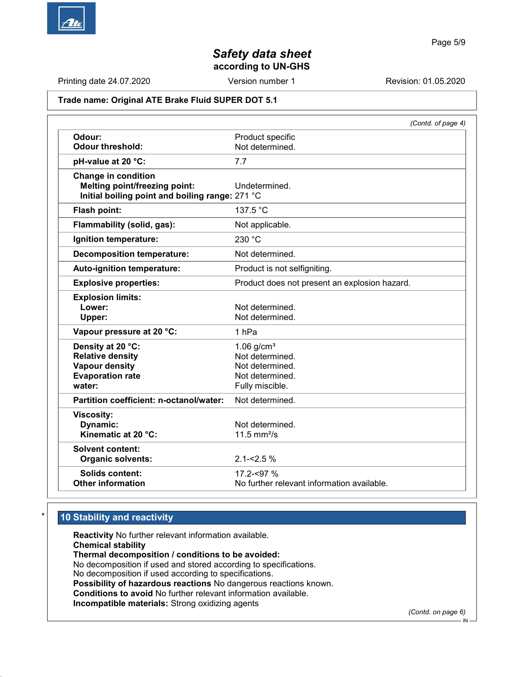

Printing date 24.07.2020 **Revision: 01.05.2020** Version number 1 Revision: 01.05.2020

# Trade name: Original ATE Brake Fluid SUPER DOT 5.1

|                                                 | (Contd. of page 4)                            |
|-------------------------------------------------|-----------------------------------------------|
| Odour:                                          | Product specific                              |
| <b>Odour threshold:</b>                         | Not determined.                               |
| pH-value at 20 °C:                              | 7.7                                           |
| <b>Change in condition</b>                      |                                               |
| <b>Melting point/freezing point:</b>            | Undetermined.                                 |
| Initial boiling point and boiling range: 271 °C |                                               |
| Flash point:                                    | 137.5 °C                                      |
| Flammability (solid, gas):                      | Not applicable.                               |
| Ignition temperature:                           | 230 °C                                        |
| <b>Decomposition temperature:</b>               | Not determined.                               |
| Auto-ignition temperature:                      | Product is not selfigniting.                  |
| <b>Explosive properties:</b>                    | Product does not present an explosion hazard. |
| <b>Explosion limits:</b>                        |                                               |
| Lower:                                          | Not determined.                               |
| Upper:                                          | Not determined.                               |
| Vapour pressure at 20 °C:                       | 1 <sub>hPa</sub>                              |
| Density at 20 °C:                               | $1.06$ g/cm <sup>3</sup>                      |
| <b>Relative density</b>                         | Not determined.                               |
| <b>Vapour density</b>                           | Not determined.                               |
| <b>Evaporation rate</b>                         | Not determined.                               |
| water:                                          | Fully miscible.                               |
| Partition coefficient: n-octanol/water:         | Not determined.                               |
| <b>Viscosity:</b>                               |                                               |
| Dynamic:                                        | Not determined.                               |
| Kinematic at 20 °C:                             | $11.5$ mm <sup>2</sup> /s                     |
| <b>Solvent content:</b>                         |                                               |
| <b>Organic solvents:</b>                        | $2.1 - 2.5%$                                  |
| Solids content:                                 | 17.2-<97 %                                    |
| <b>Other information</b>                        | No further relevant information available.    |

# 10 Stability and reactivity

Reactivity No further relevant information available. Chemical stability Thermal decomposition / conditions to be avoided: No decomposition if used and stored according to specifications. No decomposition if used according to specifications. Possibility of hazardous reactions No dangerous reactions known. Conditions to avoid No further relevant information available. Incompatible materials: Strong oxidizing agents

(Contd. on page 6) IN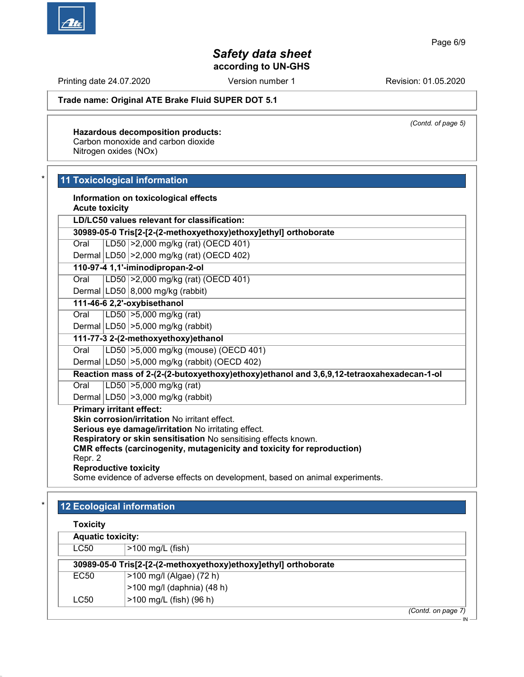Printing date 24.07.2020 **Revision: 01.05.2020** Version number 1

#### Trade name: Original ATE Brake Fluid SUPER DOT 5.1

(Contd. of page 5)

Hazardous decomposition products: Carbon monoxide and carbon dioxide Nitrogen oxides (NOx)

## 11 Toxicological information

Information on toxicological effects Acute toxicity

LD/LC50 values relevant for classification:

30989-05-0 Tris[2-[2-(2-methoxyethoxy)ethoxy]ethyl] orthoborate

Oral LD50 >2,000 mg/kg (rat) (OECD 401)

Dermal LD50 >2,000 mg/kg (rat) (OECD 402)

# 110-97-4 1,1'-iminodipropan-2-ol

Oral LD50 >2,000 mg/kg (rat) (OECD 401)

Dermal  $|LD50|8,000$  mg/kg (rabbit) 111-46-6 2,2'-oxybisethanol

Oral LD50 >5,000 mg/kg (rat)

Dermal  $|LD50| > 5,000$  mg/kg (rabbit)

111-77-3 2-(2-methoxyethoxy)ethanol

Oral LD50 >5,000 mg/kg (mouse) (OECD 401)

Dermal LD50 >5,000 mg/kg (rabbit) (OECD 402)

Reaction mass of 2-(2-(2-butoxyethoxy)ethoxy)ethanol and 3,6,9,12-tetraoxahexadecan-1-ol

Oral LD50 >5,000 mg/kg (rat)

Dermal LD50 >3,000 mg/kg (rabbit)

Primary irritant effect:

Skin corrosion/irritation No irritant effect.

Serious eye damage/irritation No irritating effect.

Respiratory or skin sensitisation No sensitising effects known.

CMR effects (carcinogenity, mutagenicity and toxicity for reproduction)

Repr. 2

Reproductive toxicity

Some evidence of adverse effects on development, based on animal experiments.

# 12 Ecological information

| <b>OXICITY</b> |
|----------------|
|                |

| <b>Aquatic toxicity:</b>                                        |                            |                    |
|-----------------------------------------------------------------|----------------------------|--------------------|
| LC50                                                            | $>100$ mg/L (fish)         |                    |
| 30989-05-0 Tris[2-[2-(2-methoxyethoxy)ethoxy]ethyl] orthoborate |                            |                    |
| EC50                                                            | >100 mg/l (Algae) (72 h)   |                    |
|                                                                 | >100 mg/l (daphnia) (48 h) |                    |
| LC50                                                            | >100 mg/L (fish) (96 h)    |                    |
|                                                                 |                            | (Contd. on page 7) |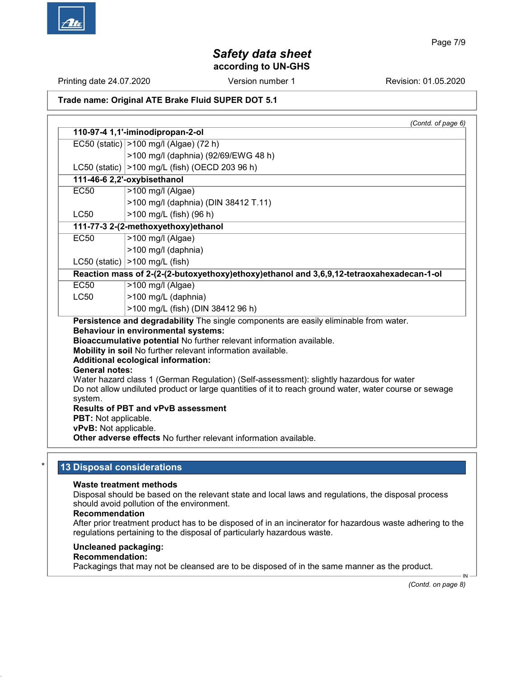Printing date 24.07.2020 **Revision: 01.05.2020** Version number 1

### Trade name: Original ATE Brake Fluid SUPER DOT 5.1

(Contd. of page 6) 110-97-4 1,1'-iminodipropan-2-ol EC50 (static) >100 mg/l (Algae) (72 h) >100 mg/l (daphnia) (92/69/EWG 48 h) LC50 (static) >100 mg/L (fish) (OECD 203 96 h) 111-46-6 2,2'-oxybisethanol EC50 |>100 mg/l (Algae) >100 mg/l (daphnia) (DIN 38412 T.11)  $LC50$   $|>100$  mg/L (fish) (96 h) 111-77-3 2-(2-methoxyethoxy)ethanol EC50 |>100 mg/l (Algae) >100 mg/l (daphnia) LC50 (static)  $|>100$  mg/L (fish) Reaction mass of 2-(2-(2-butoxyethoxy)ethoxy)ethanol and 3,6,9,12-tetraoxahexadecan-1-ol EC50 >100 mg/l (Algae) LC50  $\vert$  >100 mg/L (daphnia) >100 mg/L (fish) (DIN 38412 96 h) Persistence and degradability The single components are easily eliminable from water. Behaviour in environmental systems: Bioaccumulative potential No further relevant information available. Mobility in soil No further relevant information available. Additional ecological information: General notes: Water hazard class 1 (German Regulation) (Self-assessment): slightly hazardous for water Do not allow undiluted product or large quantities of it to reach ground water, water course or sewage system. Results of PBT and vPvB assessment PBT: Not applicable. vPvB: Not applicable. Other adverse effects No further relevant information available.

## 13 Disposal considerations

#### Waste treatment methods

Disposal should be based on the relevant state and local laws and regulations, the disposal process should avoid pollution of the environment.

#### Recommendation

After prior treatment product has to be disposed of in an incinerator for hazardous waste adhering to the regulations pertaining to the disposal of particularly hazardous waste.

#### Uncleaned packaging:

## Recommendation:

Packagings that may not be cleansed are to be disposed of in the same manner as the product.

(Contd. on page 8)

IN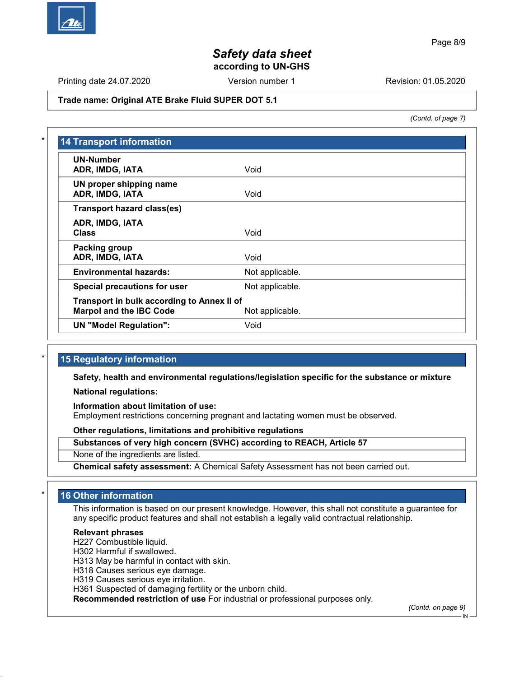

Printing date 24.07.2020 **Revision: 01.05.2020** Version number 1

#### Trade name: Original ATE Brake Fluid SUPER DOT 5.1

(Contd. of page 7)

| <b>UN-Number</b><br>ADR, IMDG, IATA        | Void            |
|--------------------------------------------|-----------------|
|                                            |                 |
| UN proper shipping name<br>ADR, IMDG, IATA | Void            |
| <b>Transport hazard class(es)</b>          |                 |
| ADR, IMDG, IATA                            |                 |
| <b>Class</b>                               | Void            |
| Packing group                              |                 |
| ADR, IMDG, IATA                            | Void            |
| <b>Environmental hazards:</b>              | Not applicable. |
| Special precautions for user               | Not applicable. |
| Transport in bulk according to Annex II of |                 |
| <b>Marpol and the IBC Code</b>             | Not applicable. |
| <b>UN "Model Regulation":</b>              | Void            |

## 15 Regulatory information

Safety, health and environmental regulations/legislation specific for the substance or mixture

National regulations:

Information about limitation of use:

Employment restrictions concerning pregnant and lactating women must be observed.

Other regulations, limitations and prohibitive regulations

Substances of very high concern (SVHC) according to REACH, Article 57

None of the ingredients are listed.

Chemical safety assessment: A Chemical Safety Assessment has not been carried out.

# 16 Other information

This information is based on our present knowledge. However, this shall not constitute a guarantee for any specific product features and shall not establish a legally valid contractual relationship.

#### Relevant phrases

H227 Combustible liquid.

H302 Harmful if swallowed.

H313 May be harmful in contact with skin.

H318 Causes serious eye damage.

H319 Causes serious eye irritation.

H361 Suspected of damaging fertility or the unborn child.

Recommended restriction of use For industrial or professional purposes only.

(Contd. on page 9)

IN